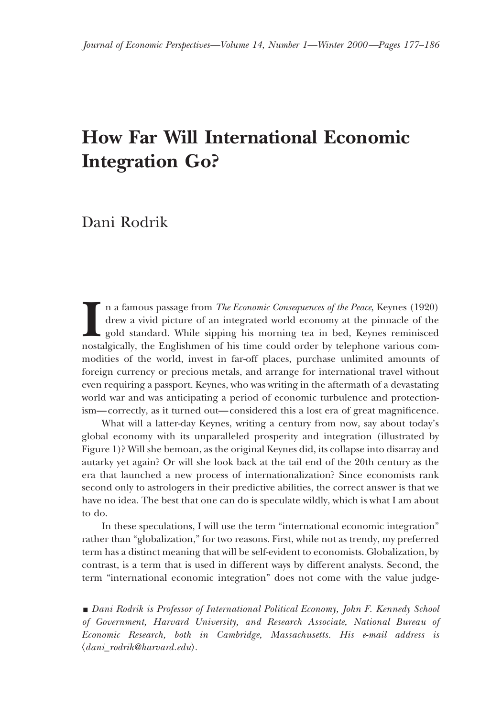# **How Far Will International Economic Integration Go?**

## Dani Rodrik

II a famous passage from *The Economic Consequences of the Peace*, Keynes (1920) drew a vivid picture of an integrated world economy at the pinnacle of the gold standard. While sipping his morning tea in bed, Keynes remini n a famous passage from *The Economic Consequences of the Peace*, Keynes (1920) drew a vivid picture of an integrated world economy at the pinnacle of the gold standard. While sipping his morning tea in bed, Keynes reminisced modities of the world, invest in far-off places, purchase unlimited amounts of foreign currency or precious metals, and arrange for international travel without even requiring a passport. Keynes, who was writing in the aftermath of a devastating world war and was anticipating a period of economic turbulence and protectionism—correctly, as it turned out—considered this a lost era of great magnificence.

What will a latter-day Keynes, writing a century from now, say about today's global economy with its unparalleled prosperity and integration (illustrated by Figure 1)? Will she bemoan, as the original Keynes did, its collapse into disarray and autarky yet again? Or will she look back at the tail end of the 20th century as the era that launched a new process of internationalization? Since economists rank second only to astrologers in their predictive abilities, the correct answer is that we have no idea. The best that one can do is speculate wildly, which is what I am about to do.

In these speculations, I will use the term "international economic integration" rather than "globalization," for two reasons. First, while not as trendy, my preferred term has a distinct meaning that will be self-evident to economists. Globalization, by contrast, is a term that is used in different ways by different analysts. Second, the term "international economic integration" does not come with the value judge-

y *Dani Rodrik is Professor of International Political Economy, John F. Kennedy School of Government, Harvard University, and Research Associate, National Bureau of Economic Research, both in Cambridge, Massachusetts. His e-mail address is* ^*dani\_rodrik@harvard.edu*&*.*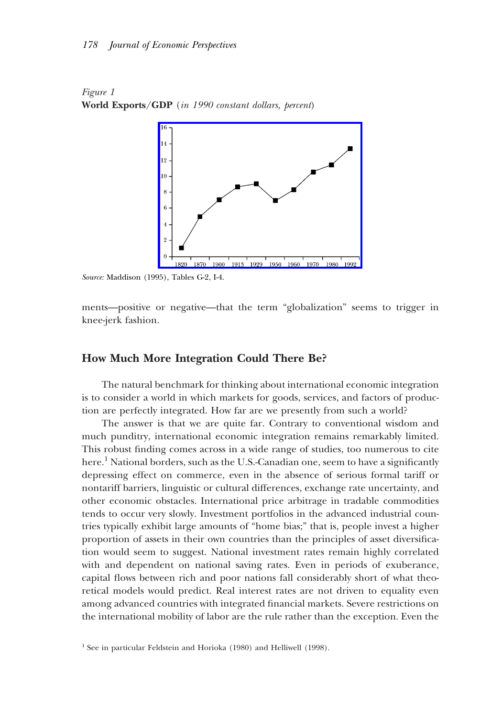*Figure 1* **World Exports/GDP** (*in 1990 constant dollars, percent*)



*Source:* Maddison (1995), Tables G-2, I-4.

ments—positive or negative—that the term "globalization" seems to trigger in knee-jerk fashion.

#### **How Much More Integration Could There Be?**

The natural benchmark for thinking about international economic integration is to consider a world in which markets for goods, services, and factors of production are perfectly integrated. How far are we presently from such a world?

The answer is that we are quite far. Contrary to conventional wisdom and much punditry, international economic integration remains remarkably limited. This robust finding comes across in a wide range of studies, too numerous to cite here.<sup>1</sup> National borders, such as the U.S.-Canadian one, seem to have a significantly depressing effect on commerce, even in the absence of serious formal tariff or nontariff barriers, linguistic or cultural differences, exchange rate uncertainty, and other economic obstacles. International price arbitrage in tradable commodities tends to occur very slowly. Investment portfolios in the advanced industrial countries typically exhibit large amounts of "home bias;" that is, people invest a higher proportion of assets in their own countries than the principles of asset diversification would seem to suggest. National investment rates remain highly correlated with and dependent on national saving rates. Even in periods of exuberance, capital flows between rich and poor nations fall considerably short of what theoretical models would predict. Real interest rates are not driven to equality even among advanced countries with integrated financial markets. Severe restrictions on the international mobility of labor are the rule rather than the exception. Even the

<sup>&</sup>lt;sup>1</sup> See in particular Feldstein and Horioka (1980) and Helliwell (1998).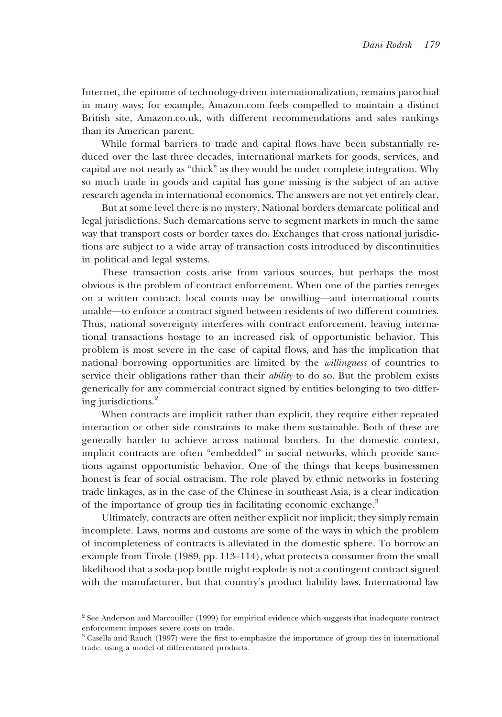Internet, the epitome of technology-driven internationalization, remains parochial in many ways; for example, Amazon.com feels compelled to maintain a distinct British site, Amazon.co.uk, with different recommendations and sales rankings than its American parent.

While formal barriers to trade and capital flows have been substantially reduced over the last three decades, international markets for goods, services, and capital are not nearly as "thick" as they would be under complete integration. Why so much trade in goods and capital has gone missing is the subject of an active research agenda in international economics. The answers are not yet entirely clear.

But at some level there is no mystery. National borders demarcate political and legal jurisdictions. Such demarcations serve to segment markets in much the same way that transport costs or border taxes do. Exchanges that cross national jurisdictions are subject to a wide array of transaction costs introduced by discontinuities in political and legal systems.

These transaction costs arise from various sources, but perhaps the most obvious is the problem of contract enforcement. When one of the parties reneges on a written contract, local courts may be unwilling—and international courts unable—to enforce a contract signed between residents of two different countries. Thus, national sovereignty interferes with contract enforcement, leaving international transactions hostage to an increased risk of opportunistic behavior. This problem is most severe in the case of capital flows, and has the implication that national borrowing opportunities are limited by the *willingness* of countries to service their obligations rather than their *ability* to do so. But the problem exists generically for any commercial contract signed by entities belonging to two differing jurisdictions.2

When contracts are implicit rather than explicit, they require either repeated interaction or other side constraints to make them sustainable. Both of these are generally harder to achieve across national borders. In the domestic context, implicit contracts are often "embedded" in social networks, which provide sanctions against opportunistic behavior. One of the things that keeps businessmen honest is fear of social ostracism. The role played by ethnic networks in fostering trade linkages, as in the case of the Chinese in southeast Asia, is a clear indication of the importance of group ties in facilitating economic exchange.<sup>3</sup>

Ultimately, contracts are often neither explicit nor implicit; they simply remain incomplete. Laws, norms and customs are some of the ways in which the problem of incompleteness of contracts is alleviated in the domestic sphere. To borrow an example from Tirole (1989, pp. 113–114), what protects a consumer from the small likelihood that a soda-pop bottle might explode is not a contingent contract signed with the manufacturer, but that country's product liability laws. International law

<sup>&</sup>lt;sup>2</sup> See Anderson and Marcouiller (1999) for empirical evidence which suggests that inadequate contract enforcement imposes severe costs on trade.

<sup>&</sup>lt;sup>3</sup> Casella and Rauch (1997) were the first to emphasize the importance of group ties in international trade, using a model of differentiated products.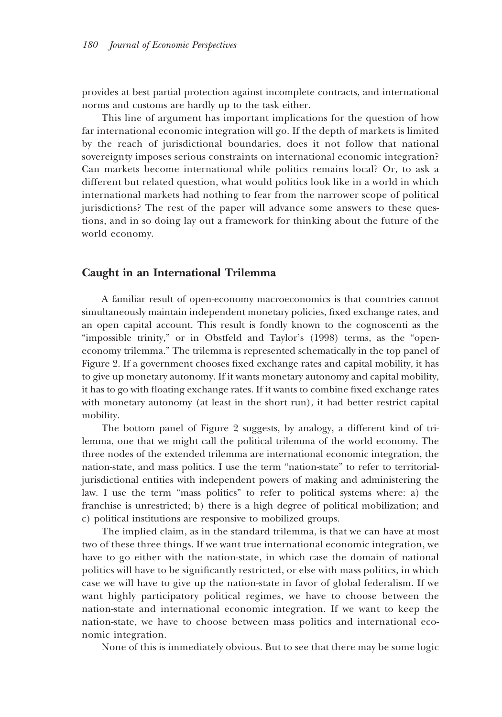provides at best partial protection against incomplete contracts, and international norms and customs are hardly up to the task either.

This line of argument has important implications for the question of how far international economic integration will go. If the depth of markets is limited by the reach of jurisdictional boundaries, does it not follow that national sovereignty imposes serious constraints on international economic integration? Can markets become international while politics remains local? Or, to ask a different but related question, what would politics look like in a world in which international markets had nothing to fear from the narrower scope of political jurisdictions? The rest of the paper will advance some answers to these questions, and in so doing lay out a framework for thinking about the future of the world economy.

#### **Caught in an International Trilemma**

A familiar result of open-economy macroeconomics is that countries cannot simultaneously maintain independent monetary policies, fixed exchange rates, and an open capital account. This result is fondly known to the cognoscenti as the "impossible trinity," or in Obstfeld and Taylor's (1998) terms, as the "openeconomy trilemma." The trilemma is represented schematically in the top panel of Figure 2. If a government chooses fixed exchange rates and capital mobility, it has to give up monetary autonomy. If it wants monetary autonomy and capital mobility, it has to go with floating exchange rates. If it wants to combine fixed exchange rates with monetary autonomy (at least in the short run), it had better restrict capital mobility.

The bottom panel of Figure 2 suggests, by analogy, a different kind of trilemma, one that we might call the political trilemma of the world economy. The three nodes of the extended trilemma are international economic integration, the nation-state, and mass politics. I use the term "nation-state" to refer to territorialjurisdictional entities with independent powers of making and administering the law. I use the term "mass politics" to refer to political systems where: a) the franchise is unrestricted; b) there is a high degree of political mobilization; and c) political institutions are responsive to mobilized groups.

The implied claim, as in the standard trilemma, is that we can have at most two of these three things. If we want true international economic integration, we have to go either with the nation-state, in which case the domain of national politics will have to be significantly restricted, or else with mass politics, in which case we will have to give up the nation-state in favor of global federalism. If we want highly participatory political regimes, we have to choose between the nation-state and international economic integration. If we want to keep the nation-state, we have to choose between mass politics and international economic integration.

None of this is immediately obvious. But to see that there may be some logic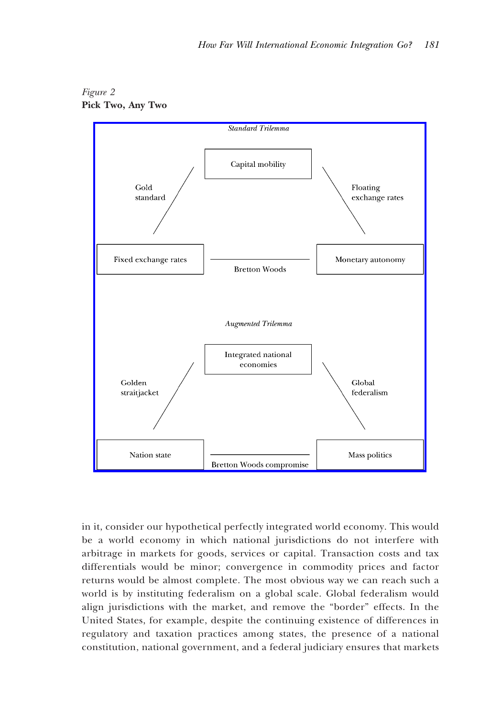



in it, consider our hypothetical perfectly integrated world economy. This would be a world economy in which national jurisdictions do not interfere with arbitrage in markets for goods, services or capital. Transaction costs and tax differentials would be minor; convergence in commodity prices and factor returns would be almost complete. The most obvious way we can reach such a world is by instituting federalism on a global scale. Global federalism would align jurisdictions with the market, and remove the "border" effects. In the United States, for example, despite the continuing existence of differences in regulatory and taxation practices among states, the presence of a national constitution, national government, and a federal judiciary ensures that markets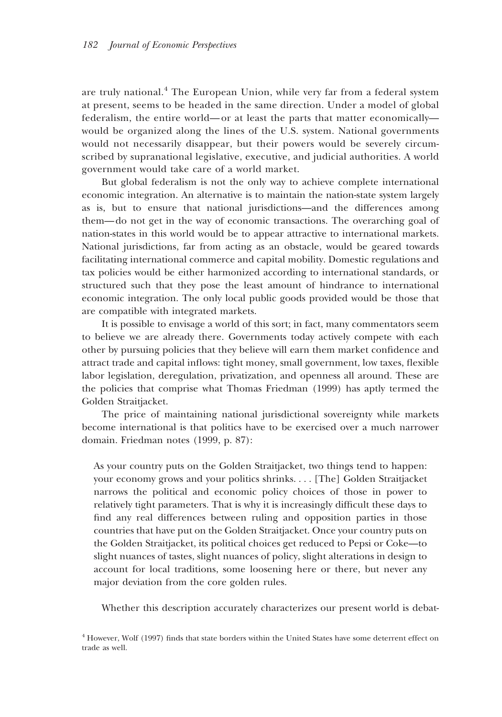are truly national. $4$  The European Union, while very far from a federal system at present, seems to be headed in the same direction. Under a model of global federalism, the entire world—or at least the parts that matter economically would be organized along the lines of the U.S. system. National governments would not necessarily disappear, but their powers would be severely circumscribed by supranational legislative, executive, and judicial authorities. A world government would take care of a world market.

But global federalism is not the only way to achieve complete international economic integration. An alternative is to maintain the nation-state system largely as is, but to ensure that national jurisdictions—and the differences among them—do not get in the way of economic transactions. The overarching goal of nation-states in this world would be to appear attractive to international markets. National jurisdictions, far from acting as an obstacle, would be geared towards facilitating international commerce and capital mobility. Domestic regulations and tax policies would be either harmonized according to international standards, or structured such that they pose the least amount of hindrance to international economic integration. The only local public goods provided would be those that are compatible with integrated markets.

It is possible to envisage a world of this sort; in fact, many commentators seem to believe we are already there. Governments today actively compete with each other by pursuing policies that they believe will earn them market confidence and attract trade and capital inflows: tight money, small government, low taxes, flexible labor legislation, deregulation, privatization, and openness all around. These are the policies that comprise what Thomas Friedman (1999) has aptly termed the Golden Straitjacket.

The price of maintaining national jurisdictional sovereignty while markets become international is that politics have to be exercised over a much narrower domain. Friedman notes (1999, p. 87):

As your country puts on the Golden Straitjacket, two things tend to happen: your economy grows and your politics shrinks.... [The] Golden Straitjacket narrows the political and economic policy choices of those in power to relatively tight parameters. That is why it is increasingly difficult these days to find any real differences between ruling and opposition parties in those countries that have put on the Golden Straitjacket. Once your country puts on the Golden Straitjacket, its political choices get reduced to Pepsi or Coke—to slight nuances of tastes, slight nuances of policy, slight alterations in design to account for local traditions, some loosening here or there, but never any major deviation from the core golden rules.

Whether this description accurately characterizes our present world is debat-

<sup>4</sup> However, Wolf (1997) finds that state borders within the United States have some deterrent effect on trade as well.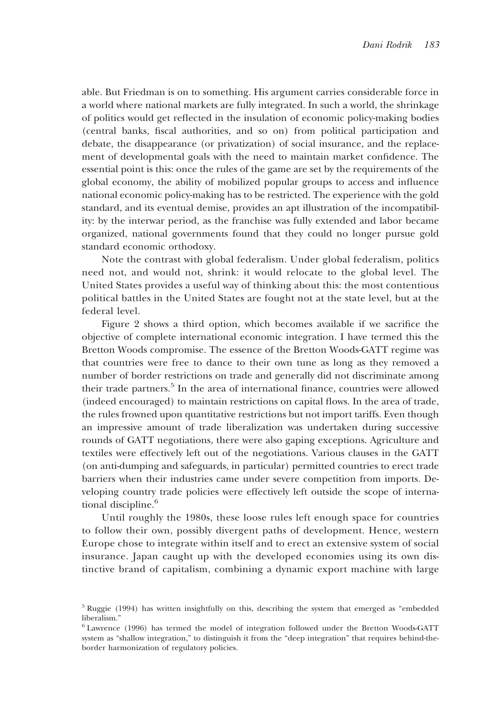able. But Friedman is on to something. His argument carries considerable force in a world where national markets are fully integrated. In such a world, the shrinkage of politics would get reflected in the insulation of economic policy-making bodies (central banks, fiscal authorities, and so on) from political participation and debate, the disappearance (or privatization) of social insurance, and the replacement of developmental goals with the need to maintain market confidence. The essential point is this: once the rules of the game are set by the requirements of the global economy, the ability of mobilized popular groups to access and influence national economic policy-making has to be restricted. The experience with the gold standard, and its eventual demise, provides an apt illustration of the incompatibility: by the interwar period, as the franchise was fully extended and labor became organized, national governments found that they could no longer pursue gold standard economic orthodoxy.

Note the contrast with global federalism. Under global federalism, politics need not, and would not, shrink: it would relocate to the global level. The United States provides a useful way of thinking about this: the most contentious political battles in the United States are fought not at the state level, but at the federal level.

Figure 2 shows a third option, which becomes available if we sacrifice the objective of complete international economic integration. I have termed this the Bretton Woods compromise. The essence of the Bretton Woods-GATT regime was that countries were free to dance to their own tune as long as they removed a number of border restrictions on trade and generally did not discriminate among their trade partners.<sup>5</sup> In the area of international finance, countries were allowed (indeed encouraged) to maintain restrictions on capital flows. In the area of trade, the rules frowned upon quantitative restrictions but not import tariffs. Even though an impressive amount of trade liberalization was undertaken during successive rounds of GATT negotiations, there were also gaping exceptions. Agriculture and textiles were effectively left out of the negotiations. Various clauses in the GATT (on anti-dumping and safeguards, in particular) permitted countries to erect trade barriers when their industries came under severe competition from imports. Developing country trade policies were effectively left outside the scope of international discipline.<sup>6</sup>

Until roughly the 1980s, these loose rules left enough space for countries to follow their own, possibly divergent paths of development. Hence, western Europe chose to integrate within itself and to erect an extensive system of social insurance. Japan caught up with the developed economies using its own distinctive brand of capitalism, combining a dynamic export machine with large

 $5$  Ruggie (1994) has written insightfully on this, describing the system that emerged as "embedded" liberalism."

<sup>6</sup> Lawrence (1996) has termed the model of integration followed under the Bretton Woods-GATT system as "shallow integration," to distinguish it from the "deep integration" that requires behind-theborder harmonization of regulatory policies.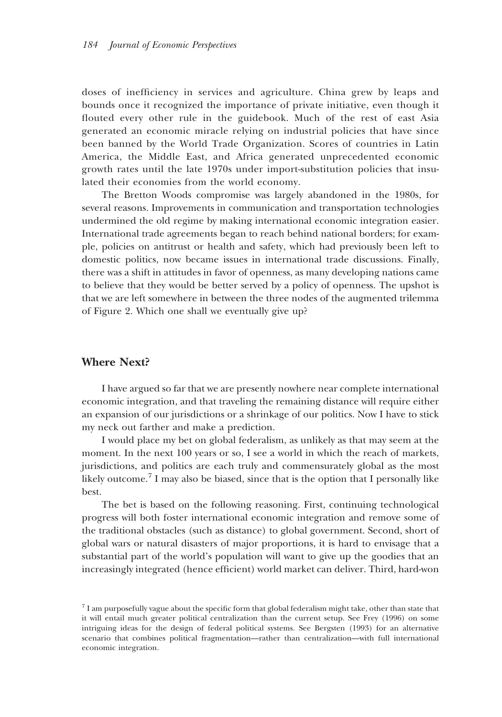doses of inefficiency in services and agriculture. China grew by leaps and bounds once it recognized the importance of private initiative, even though it flouted every other rule in the guidebook. Much of the rest of east Asia generated an economic miracle relying on industrial policies that have since been banned by the World Trade Organization. Scores of countries in Latin America, the Middle East, and Africa generated unprecedented economic growth rates until the late 1970s under import-substitution policies that insulated their economies from the world economy.

The Bretton Woods compromise was largely abandoned in the 1980s, for several reasons. Improvements in communication and transportation technologies undermined the old regime by making international economic integration easier. International trade agreements began to reach behind national borders; for example, policies on antitrust or health and safety, which had previously been left to domestic politics, now became issues in international trade discussions. Finally, there was a shift in attitudes in favor of openness, as many developing nations came to believe that they would be better served by a policy of openness. The upshot is that we are left somewhere in between the three nodes of the augmented trilemma of Figure 2. Which one shall we eventually give up?

### **Where Next?**

I have argued so far that we are presently nowhere near complete international economic integration, and that traveling the remaining distance will require either an expansion of our jurisdictions or a shrinkage of our politics. Now I have to stick my neck out farther and make a prediction.

I would place my bet on global federalism, as unlikely as that may seem at the moment. In the next 100 years or so, I see a world in which the reach of markets, jurisdictions, and politics are each truly and commensurately global as the most likely outcome.<sup>7</sup> I may also be biased, since that is the option that I personally like best.

The bet is based on the following reasoning. First, continuing technological progress will both foster international economic integration and remove some of the traditional obstacles (such as distance) to global government. Second, short of global wars or natural disasters of major proportions, it is hard to envisage that a substantial part of the world's population will want to give up the goodies that an increasingly integrated (hence efficient) world market can deliver. Third, hard-won

<sup>&</sup>lt;sup>7</sup> I am purposefully vague about the specific form that global federalism might take, other than state that it will entail much greater political centralization than the current setup. See Frey (1996) on some intriguing ideas for the design of federal political systems. See Bergsten (1993) for an alternative scenario that combines political fragmentation—rather than centralization—with full international economic integration.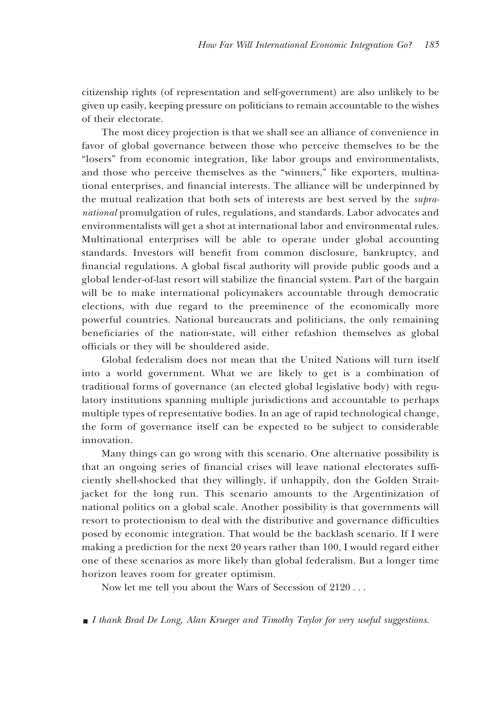citizenship rights (of representation and self-government) are also unlikely to be given up easily, keeping pressure on politicians to remain accountable to the wishes of their electorate.

The most dicey projection is that we shall see an alliance of convenience in favor of global governance between those who perceive themselves to be the "losers" from economic integration, like labor groups and environmentalists, and those who perceive themselves as the "winners," like exporters, multinational enterprises, and financial interests. The alliance will be underpinned by the mutual realization that both sets of interests are best served by the *supranational* promulgation of rules, regulations, and standards. Labor advocates and environmentalists will get a shot at international labor and environmental rules. Multinational enterprises will be able to operate under global accounting standards. Investors will benefit from common disclosure, bankruptcy, and financial regulations. A global fiscal authority will provide public goods and a global lender-of-last resort will stabilize the financial system. Part of the bargain will be to make international policymakers accountable through democratic elections, with due regard to the preeminence of the economically more powerful countries. National bureaucrats and politicians, the only remaining beneficiaries of the nation-state, will either refashion themselves as global officials or they will be shouldered aside.

Global federalism does not mean that the United Nations will turn itself into a world government. What we are likely to get is a combination of traditional forms of governance (an elected global legislative body) with regulatory institutions spanning multiple jurisdictions and accountable to perhaps multiple types of representative bodies. In an age of rapid technological change, the form of governance itself can be expected to be subject to considerable innovation.

Many things can go wrong with this scenario. One alternative possibility is that an ongoing series of financial crises will leave national electorates sufficiently shell-shocked that they willingly, if unhappily, don the Golden Straitjacket for the long run. This scenario amounts to the Argentinization of national politics on a global scale. Another possibility is that governments will resort to protectionism to deal with the distributive and governance difficulties posed by economic integration. That would be the backlash scenario. If I were making a prediction for the next 20 years rather than 100, I would regard either one of these scenarios as more likely than global federalism. But a longer time horizon leaves room for greater optimism.

Now let me tell you about the Wars of Secession of 2120...

 $\blacksquare$  *I thank Brad De Long, Alan Krueger and Timothy Taylor for very useful suggestions.*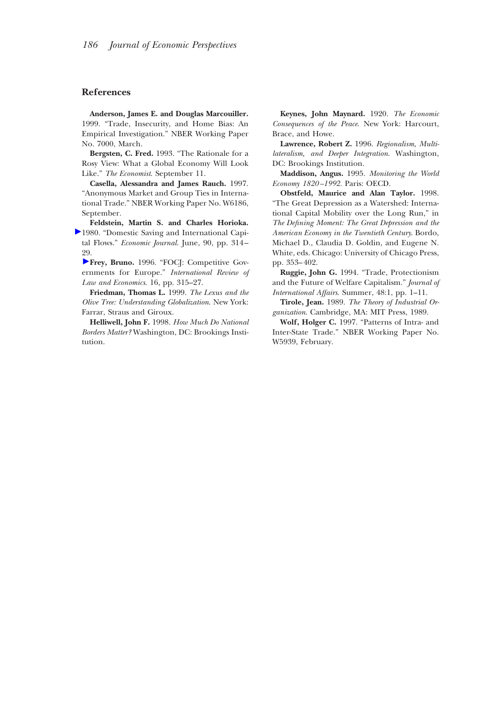#### **References**

**Anderson, James E. and Douglas Marcouiller.** 1999. "Trade, Insecurity, and Home Bias: An Empirical Investigation." NBER Working Paper No. 7000, March.

**Bergsten, C. Fred.** 1993. "The Rationale for a Rosy View: What a Global Economy Will Look Like." *The Economist*. September 11.

**Casella, Alessandra and James Rauch.** 1997. "Anonymous Market and Group Ties in International Trade." NBER Working Paper No. W6186, September.

**Feldstein, Martin S. and Charles Horioka.** 1980. "Domestic Saving and International Capital Flows." *Economic Journal*. June, 90, pp. 314– 29.

**Frey, Bruno.** 1996. "FOCJ: Competitive Governments for Europe." *International Review of Law and Economics*. 16, pp. 315–27.

**Friedman, Thomas L.** 1999. *The Lexus and the Olive Tree: Understanding Globalization*. New York: Farrar, Straus and Giroux.

**Helliwell, John F.** 1998. *How Much Do National Borders Matter?* Washington, DC: Brookings Institution.

**Keynes, John Maynard.** 1920. *The Economic Consequences of the Peace*. New York: Harcourt, Brace, and Howe.

**Lawrence, Robert Z.** 1996. *Regionalism, Multilateralism, and Deeper Integration*. Washington, DC: Brookings Institution.

**Maddison, Angus.** 1995. *Monitoring the World Economy 1820–1992.* Paris: OECD.

**Obstfeld, Maurice and Alan Taylor.** 1998. "The Great Depression as a Watershed: International Capital Mobility over the Long Run," in *The Defining Moment: The Great Depression and the American Economy in the Twentieth Century*. Bordo, Michael D., Claudia D. Goldin, and Eugene N. White, eds. Chicago: University of Chicago Press, pp. 353–402.

**Ruggie, John G.** 1994. "Trade, Protectionism and the Future of Welfare Capitalism." *Journal of International Affairs*. Summer, 48:1, pp. 1–11.

**Tirole, Jean.** 1989. *The Theory of Industrial Organization*. Cambridge, MA: MIT Press, 1989.

**Wolf, Holger C.** 1997. "Patterns of Intra- and Inter-State Trade." NBER Working Paper No. W5939, February.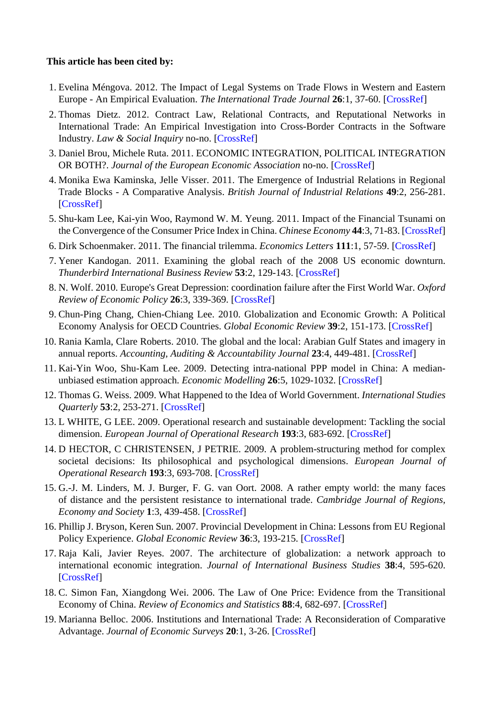#### **This article has been cited by:**

- 1. Evelina Méngova. 2012. The Impact of Legal Systems on Trade Flows in Western and Eastern Europe - An Empirical Evaluation. *The International Trade Journal* **26**:1, 37-60. [\[CrossRef](http://dx.doi.org/10.1080/08853908.2012.631869)]
- 2. Thomas Dietz. 2012. Contract Law, Relational Contracts, and Reputational Networks in International Trade: An Empirical Investigation into Cross-Border Contracts in the Software Industry. *Law & Social Inquiry* no-no. [\[CrossRef](http://dx.doi.org/10.1111/j.1747-4469.2011.01281.x)]
- 3. Daniel Brou, Michele Ruta. 2011. ECONOMIC INTEGRATION, POLITICAL INTEGRATION OR BOTH?. *Journal of the European Economic Association* no-no. [[CrossRef\]](http://dx.doi.org/10.1111/j.1542-4774.2011.01037.x)
- 4. Monika Ewa Kaminska, Jelle Visser. 2011. The Emergence of Industrial Relations in Regional Trade Blocks - A Comparative Analysis. *British Journal of Industrial Relations* **49**:2, 256-281. [\[CrossRef](http://dx.doi.org/10.1111/j.1467-8543.2010.00847.x)]
- 5.Shu-kam Lee, Kai-yin Woo, Raymond W. M. Yeung. 2011. Impact of the Financial Tsunami on the Convergence of the Consumer Price Index in China. *Chinese Economy* **44**:3, 71-83. [[CrossRef\]](http://dx.doi.org/10.2753/CES1097-1475440305)
- 6. Dirk Schoenmaker. 2011. The financial trilemma. *Economics Letters* **111**:1, 57-59. [[CrossRef\]](http://dx.doi.org/10.1016/j.econlet.2011.01.010)
- 7. Yener Kandogan. 2011. Examining the global reach of the 2008 US economic downturn. *Thunderbird International Business Review* **53**:2, 129-143. [\[CrossRef\]](http://dx.doi.org/10.1002/tie.20396)
- 8. N. Wolf. 2010. Europe's Great Depression: coordination failure after the First World War. *Oxford Review of Economic Policy* **26**:3, 339-369. [\[CrossRef\]](http://dx.doi.org/10.1093/oxrep/grq022)
- 9. Chun-Ping Chang, Chien-Chiang Lee. 2010. Globalization and Economic Growth: A Political Economy Analysis for OECD Countries. *Global Economic Review* **39**:2, 151-173. [\[CrossRef\]](http://dx.doi.org/10.1080/1226508X.2010.483835)
- 10. Rania Kamla, Clare Roberts. 2010. The global and the local: Arabian Gulf States and imagery in annual reports. *Accounting, Auditing & Accountability Journal* **23**:4, 449-481. [\[CrossRef\]](http://dx.doi.org/10.1108/09513571011041589)
- 11. Kai-Yin Woo, Shu-Kam Lee. 2009. Detecting intra-national PPP model in China: A medianunbiased estimation approach. *Economic Modelling* **26**:5, 1029-1032. [\[CrossRef](http://dx.doi.org/10.1016/j.econmod.2009.03.009)]
- 12. Thomas G. Weiss. 2009. What Happened to the Idea of World Government. *International Studies Quarterly* **53**:2, 253-271. [\[CrossRef](http://dx.doi.org/10.1111/j.1468-2478.2009.00533.x)]
- 13. L WHITE, G LEE. 2009. Operational research and sustainable development: Tackling the social dimension. *European Journal of Operational Research* **193**:3, 683-692. [[CrossRef\]](http://dx.doi.org/10.1016/j.ejor.2007.06.057)
- 14. D HECTOR, C CHRISTENSEN, J PETRIE. 2009. A problem-structuring method for complex societal decisions: Its philosophical and psychological dimensions. *European Journal of Operational Research* **193**:3, 693-708. [\[CrossRef](http://dx.doi.org/10.1016/j.ejor.2007.06.058)]
- 15. G.-J. M. Linders, M. J. Burger, F. G. van Oort. 2008. A rather empty world: the many faces of distance and the persistent resistance to international trade. *Cambridge Journal of Regions, Economy and Society* **1**:3, 439-458. [[CrossRef\]](http://dx.doi.org/10.1093/cjres/rsn019)
- 16.Phillip J. Bryson, Keren Sun. 2007. Provincial Development in China: Lessons from EU Regional Policy Experience. *Global Economic Review* **36**:3, 193-215. [\[CrossRef\]](http://dx.doi.org/10.1080/12265080701561935)
- 17. Raja Kali, Javier Reyes. 2007. The architecture of globalization: a network approach to international economic integration. *Journal of International Business Studies* **38**:4, 595-620. [\[CrossRef](http://dx.doi.org/10.1057/palgrave.jibs.8400286)]
- 18. C. Simon Fan, Xiangdong Wei. 2006. The Law of One Price: Evidence from the Transitional Economy of China. *Review of Economics and Statistics* **88**:4, 682-697. [[CrossRef](http://dx.doi.org/10.1162/rest.88.4.682)]
- 19. Marianna Belloc. 2006. Institutions and International Trade: A Reconsideration of Comparative Advantage. *Journal of Economic Surveys* **20**:1, 3-26. [\[CrossRef\]](http://dx.doi.org/10.1111/j.0950-0804.2006.00274.x)